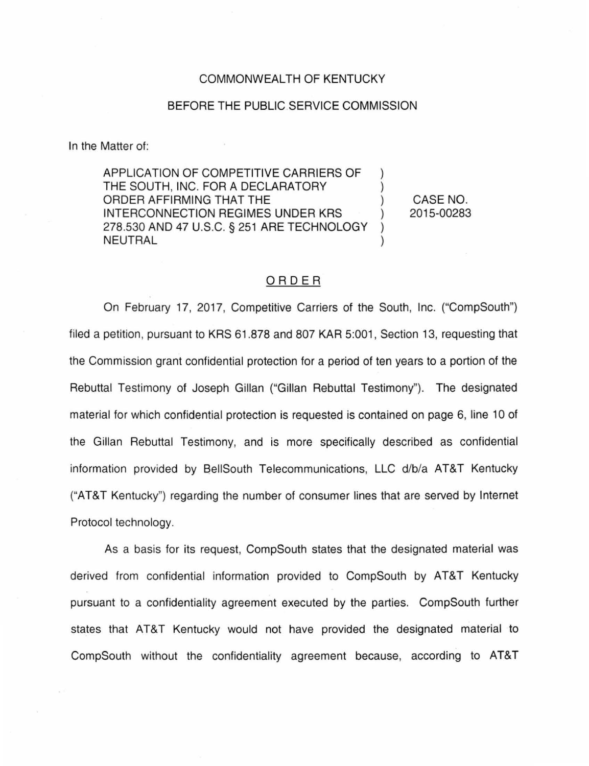## COMMONWEALTH OF KENTUCKY

## BEFORE THE PUBLIC SERVICE COMMISSION

In the Matter of:

APPLICATION OF COMPETITIVE CARRIERS OF ) THE SOUTH, INC. FOR A DECLARATORY ORDER AFFIRMING THAT THE INTERCONNECTION REGIMES UNDER KRS 278.530 AND 47 U.S.C. § 251 ARE TECHNOLOGY ) **NEUTRAL** 

CASE NO. 2015-00283

## ORDER

On February 17, 2017, Competitive Carriers of the South, Inc. ("CompSouth") filed a petition, pursuant to KRS 61.878 and 807 KAR 5:001, Section 13, requesting that the Commission grant confidential protection for a period of ten years to a portion of the Rebuttal Testimony of Joseph Gillan ("Gillan Rebuttal Testimony''). The designated material for which confidential protection is requested is contained on page 6, line 10 of the Gillan Rebuttal Testimony, and is more specifically described as confidential information provided by BellSouth Telecommunications, LLC d/b/a AT&T Kentucky ("AT&T Kentucky") regarding the number of consumer lines that are served by Internet Protocol technology.

As a basis for its request, CompSouth states that the designated material was derived from confidential information provided to CompSouth by AT&T Kentucky pursuant to a confidentiality agreement executed by the parties. CompSouth further states that AT&T Kentucky would not have provided the designated material to CompSouth without the confidentiality agreement because, according to AT&T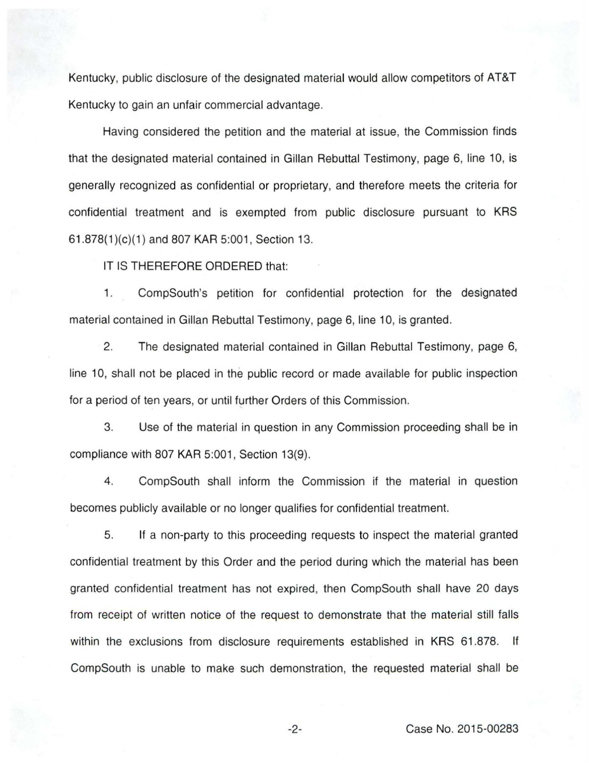Kentucky, public disclosure of the designated material would allow competitors of AT&T Kentucky to gain an unfair commercial advantage.

Having considered the petition and the material at issue, the Commission finds that the designated material contained in Gillan Rebuttal Testimony, page 6, line 10, is generally recognized as confidential or proprietary, and therefore meets the criteria for confidential treatment and is exempted from public disclosure pursuant to KRS 61 .878(1 )(c)(1) and 807 KAR 5:001 , Section 13.

IT IS THEREFORE ORDERED that:

1. CompSouth's petition for confidential protection for the designated material contained in Gillan Rebuttal Testimony, page 6, line 10, is granted.

2. The designated material contained in Gillan Rebuttal Testimony, page 6, line 10, shall not be placed in the public record or made available for public inspection for a period of ten years, or until further Orders of this Commission.

3. Use of the material in question in any Commission proceeding shall be in compliance with 807 KAR 5:001, Section 13(9).

4. CompSouth shall inform the Commission if the material in question becomes publicly available or no longer qualifies for confidential treatment.

5. If a non-party to this proceeding requests to inspect the material granted confidential treatment by this Order and the period during which the material has been granted confidential treatment has not expired, then CompSouth shall have 20 days from receipt of written notice of the request to demonstrate that the material still falls within the exclusions from disclosure requirements established in KRS 61.878. If CompSouth is unable to make such demonstration, the requested material shall be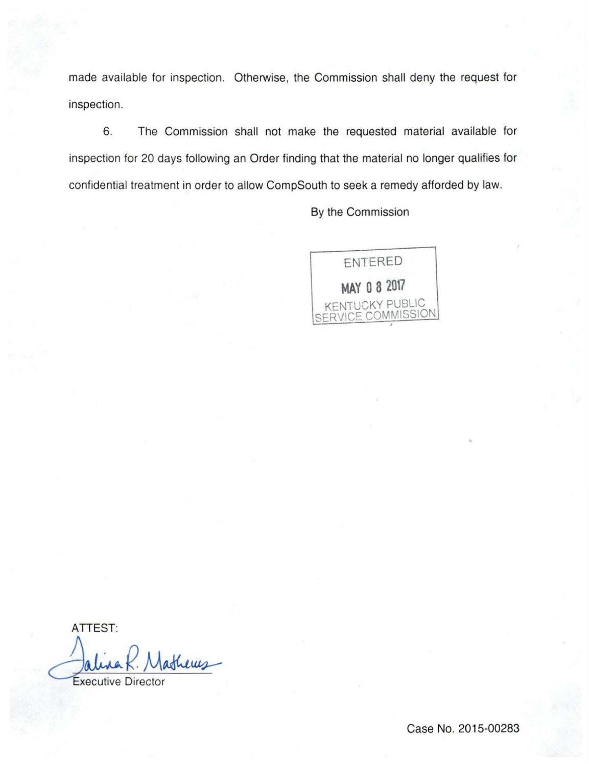made available for inspection. Otherwise, the Commission shall deny the request for inspection.

6. The Commission shall not make the requested material available for inspection for 20 days following an Order finding that the material no longer qualifies for confidential treatment in order to allow CompSouth to seek a remedy afforded by law.

By the Commission



ATTEST:

Executive Director athery

Case No. 2015-00283

•